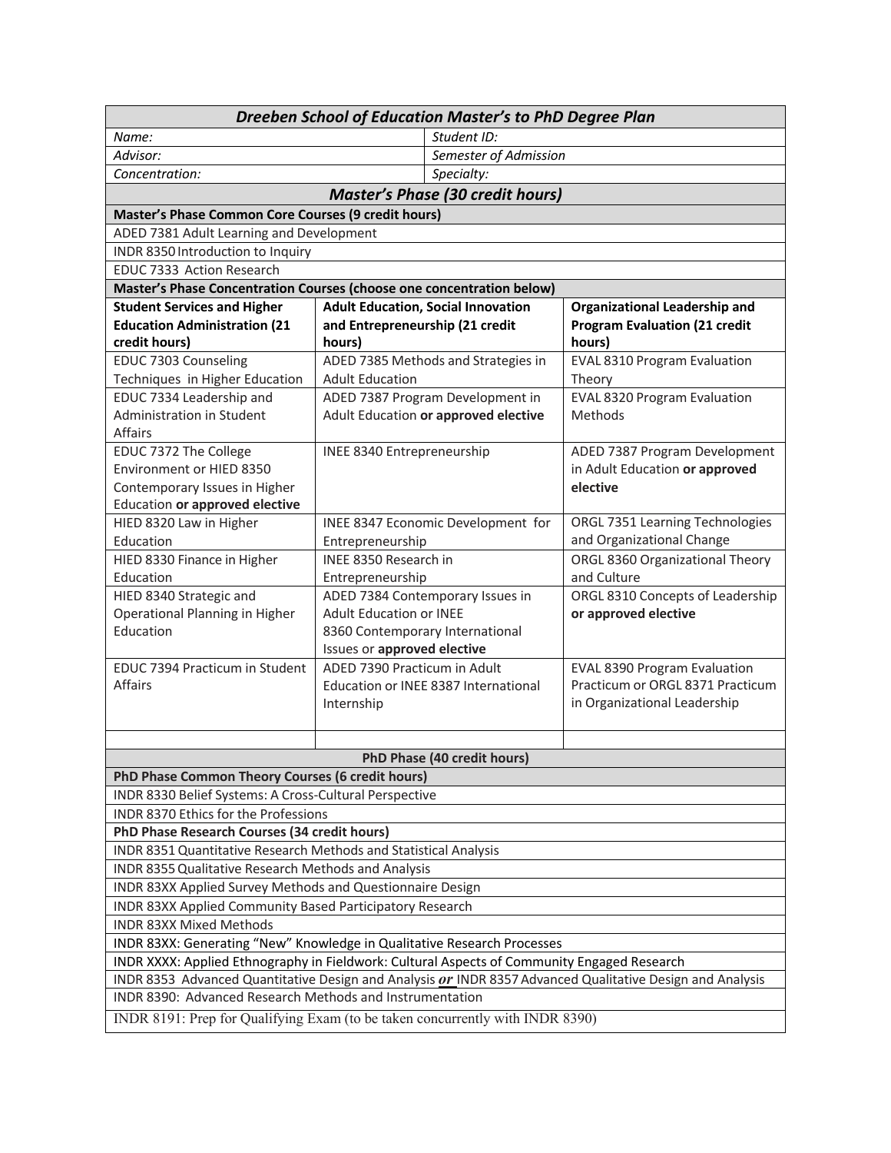| Dreeben School of Education Master's to PhD Degree Plan                                                   |                                                             |                       |                                                                         |  |  |
|-----------------------------------------------------------------------------------------------------------|-------------------------------------------------------------|-----------------------|-------------------------------------------------------------------------|--|--|
| Name:                                                                                                     |                                                             | Student ID:           |                                                                         |  |  |
| Advisor:                                                                                                  |                                                             | Semester of Admission |                                                                         |  |  |
| Concentration:                                                                                            |                                                             | Specialty:            |                                                                         |  |  |
| <b>Master's Phase (30 credit hours)</b>                                                                   |                                                             |                       |                                                                         |  |  |
| Master's Phase Common Core Courses (9 credit hours)                                                       |                                                             |                       |                                                                         |  |  |
| ADED 7381 Adult Learning and Development                                                                  |                                                             |                       |                                                                         |  |  |
| INDR 8350 Introduction to Inquiry                                                                         |                                                             |                       |                                                                         |  |  |
| EDUC 7333 Action Research                                                                                 |                                                             |                       |                                                                         |  |  |
| Master's Phase Concentration Courses (choose one concentration below)                                     |                                                             |                       |                                                                         |  |  |
| <b>Student Services and Higher</b>                                                                        | <b>Adult Education, Social Innovation</b>                   |                       | <b>Organizational Leadership and</b>                                    |  |  |
| <b>Education Administration (21</b>                                                                       | and Entrepreneurship (21 credit                             |                       | <b>Program Evaluation (21 credit</b>                                    |  |  |
| credit hours)                                                                                             | hours)                                                      |                       | hours)                                                                  |  |  |
| EDUC 7303 Counseling                                                                                      | ADED 7385 Methods and Strategies in                         |                       | EVAL 8310 Program Evaluation                                            |  |  |
| Techniques in Higher Education                                                                            | <b>Adult Education</b>                                      |                       | Theory                                                                  |  |  |
| EDUC 7334 Leadership and                                                                                  | ADED 7387 Program Development in                            |                       | <b>EVAL 8320 Program Evaluation</b>                                     |  |  |
| Administration in Student                                                                                 | Adult Education or approved elective                        |                       | Methods                                                                 |  |  |
| Affairs                                                                                                   |                                                             |                       |                                                                         |  |  |
| EDUC 7372 The College                                                                                     | <b>INEE 8340 Entrepreneurship</b>                           |                       | ADED 7387 Program Development                                           |  |  |
| Environment or HIED 8350                                                                                  |                                                             |                       | in Adult Education or approved                                          |  |  |
| Contemporary Issues in Higher                                                                             |                                                             |                       | elective                                                                |  |  |
| Education or approved elective                                                                            |                                                             |                       |                                                                         |  |  |
| HIED 8320 Law in Higher                                                                                   | INEE 8347 Economic Development for                          |                       | ORGL 7351 Learning Technologies                                         |  |  |
| Education                                                                                                 | Entrepreneurship                                            |                       | and Organizational Change                                               |  |  |
| HIED 8330 Finance in Higher                                                                               | INEE 8350 Research in                                       |                       | ORGL 8360 Organizational Theory                                         |  |  |
| Education                                                                                                 | Entrepreneurship                                            |                       | and Culture                                                             |  |  |
| HIED 8340 Strategic and                                                                                   | ADED 7384 Contemporary Issues in                            |                       | ORGL 8310 Concepts of Leadership                                        |  |  |
| Operational Planning in Higher                                                                            | <b>Adult Education or INEE</b>                              |                       | or approved elective                                                    |  |  |
| Education                                                                                                 | 8360 Contemporary International                             |                       |                                                                         |  |  |
| EDUC 7394 Practicum in Student                                                                            | Issues or approved elective<br>ADED 7390 Practicum in Adult |                       |                                                                         |  |  |
| <b>Affairs</b>                                                                                            | Education or INEE 8387 International                        |                       | <b>EVAL 8390 Program Evaluation</b><br>Practicum or ORGL 8371 Practicum |  |  |
|                                                                                                           | Internship                                                  |                       | in Organizational Leadership                                            |  |  |
|                                                                                                           |                                                             |                       |                                                                         |  |  |
|                                                                                                           |                                                             |                       |                                                                         |  |  |
|                                                                                                           |                                                             |                       |                                                                         |  |  |
| PhD Phase (40 credit hours)<br>PhD Phase Common Theory Courses (6 credit hours)                           |                                                             |                       |                                                                         |  |  |
| INDR 8330 Belief Systems: A Cross-Cultural Perspective                                                    |                                                             |                       |                                                                         |  |  |
| <b>INDR 8370 Ethics for the Professions</b>                                                               |                                                             |                       |                                                                         |  |  |
| PhD Phase Research Courses (34 credit hours)                                                              |                                                             |                       |                                                                         |  |  |
| INDR 8351 Quantitative Research Methods and Statistical Analysis                                          |                                                             |                       |                                                                         |  |  |
| INDR 8355 Qualitative Research Methods and Analysis                                                       |                                                             |                       |                                                                         |  |  |
| INDR 83XX Applied Survey Methods and Questionnaire Design                                                 |                                                             |                       |                                                                         |  |  |
| INDR 83XX Applied Community Based Participatory Research                                                  |                                                             |                       |                                                                         |  |  |
| <b>INDR 83XX Mixed Methods</b>                                                                            |                                                             |                       |                                                                         |  |  |
| INDR 83XX: Generating "New" Knowledge in Qualitative Research Processes                                   |                                                             |                       |                                                                         |  |  |
| INDR XXXX: Applied Ethnography in Fieldwork: Cultural Aspects of Community Engaged Research               |                                                             |                       |                                                                         |  |  |
| INDR 8353 Advanced Quantitative Design and Analysis or INDR 8357 Advanced Qualitative Design and Analysis |                                                             |                       |                                                                         |  |  |
| INDR 8390: Advanced Research Methods and Instrumentation                                                  |                                                             |                       |                                                                         |  |  |
| INDR 8191: Prep for Qualifying Exam (to be taken concurrently with INDR 8390)                             |                                                             |                       |                                                                         |  |  |